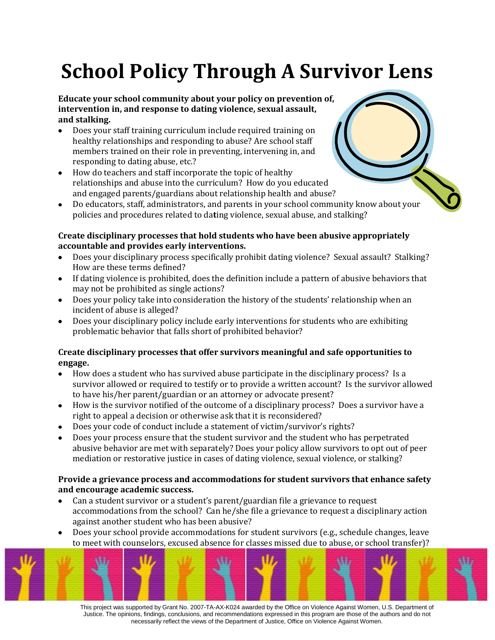# **School Policy Through A Survivor Lens**

#### **Educate your school community about your policy on prevention of, intervention in, and response to dating violence, sexual assault, and stalking.**

- Does your staff training curriculum include required training on healthy relationships and responding to abuse? Are school staff members trained on their role in preventing, intervening in, and responding to dating abuse, etc.?
- How do teachers and staff incorporate the topic of healthy relationships and abuse into the curriculum? How do you educated and engaged parents/guardians about relationship health and abuse?
- Do educators, staff, administrators, and parents in your school community know about your policies and procedures related to da**t**ing violence, sexual abuse, and stalking?

## **Create disciplinary processes that hold students who have been abusive appropriately accountable and provides early interventions.**

- Does your disciplinary process specifically prohibit dating violence? Sexual assault? Stalking? How are these terms defined?
- If dating violence is prohibited, does the definition include a pattern of abusive behaviors that may not be prohibited as single actions?
- Does your policy take into consideration the history of the students' relationship when an incident of abuse is alleged?
- Does your disciplinary policy include early interventions for students who are exhibiting problematic behavior that falls short of prohibited behavior?

#### **Create disciplinary processes that offer survivors meaningful and safe opportunities to engage.**

- How does a student who has survived abuse participate in the disciplinary process? Is a  $\bullet$ survivor allowed or required to testify or to provide a written account? Is the survivor allowed to have his/her parent/guardian or an attorney or advocate present?
- How is the survivor notified of the outcome of a disciplinary process? Does a survivor have a right to appeal a decision or otherwise ask that it is reconsidered?
- Does your code of conduct include a statement of victim/survivor's rights?
- Does your process ensure that the student survivor and the student who has perpetrated abusive behavior are met with separately? Does your policy allow survivors to opt out of peer mediation or restorative justice in cases of dating violence, sexual violence, or stalking?

#### **Provide a grievance process and accommodations for student survivors that enhance safety and encourage academic success.**

- Can a student survivor or a student's parent/guardian file a grievance to request  $\bullet$ accommodations from the school? Can he/she file a grievance to request a disciplinary action against another student who has been abusive?
- Does your school provide accommodations for student survivors (e.g., schedule changes, leave to meet with counselors, excused absence for classes missed due to abuse, or school transfer)?



This project was supported by Grant No. 2007-TA-AX-K024 awarded by the Office on Violence Against Women, U.S. Department of Justice. The opinions, findings, conclusions, and recommendations expressed in this program are those of the authors and do not necessarily reflect the views of the Department of Justice, Office on Violence Against Women.